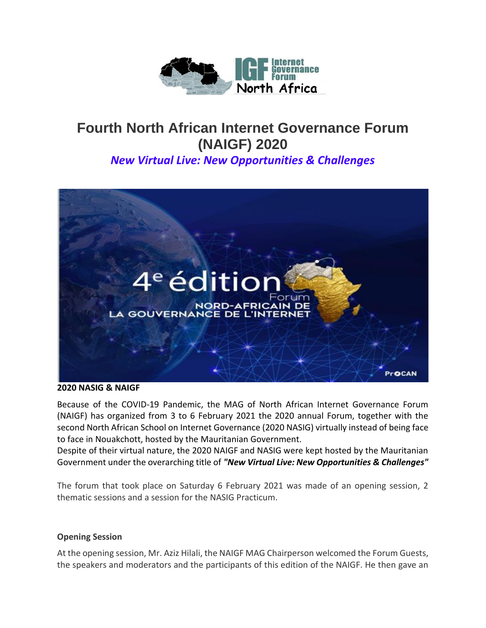

# **Fourth North African Internet Governance Forum (NAIGF) 2020**

*New Virtual Live: New Opportunities & Challenges*



**2020 NASIG & NAIGF**

Because of the COVID-19 Pandemic, the MAG of North African Internet Governance Forum (NAIGF) has organized from 3 to 6 February 2021 the 2020 annual Forum, together with the second North African School on Internet Governance (2020 NASIG) virtually instead of being face to face in Nouakchott, hosted by the Mauritanian Government.

Despite of their virtual nature, the 2020 NAIGF and NASIG were kept hosted by the Mauritanian Government under the overarching title of *"New Virtual Live: New Opportunities & Challenges"*

The forum that took place on Saturday 6 February 2021 was made of an opening session, 2 thematic sessions and a session for the NASIG Practicum.

### **Opening Session**

At the opening session, Mr. Aziz Hilali, the NAIGF MAG Chairperson welcomed the Forum Guests, the speakers and moderators and the participants of this edition of the NAIGF. He then gave an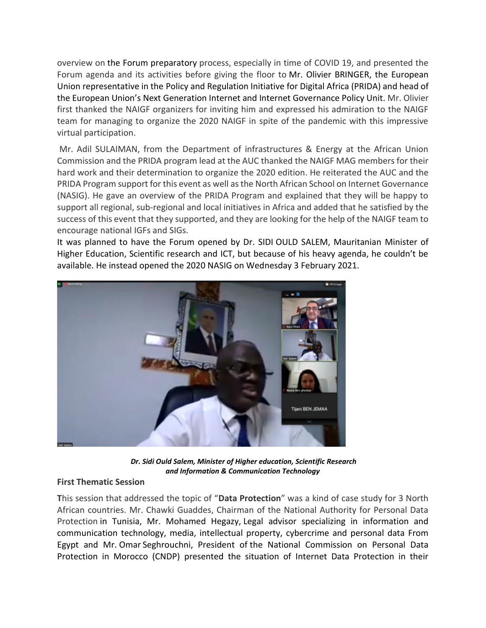overview on the Forum preparatory process, especially in time of COVID 19, and presented the Forum agenda and its activities before giving the floor to Mr. Olivier BRINGER, the European Union representative in the Policy and Regulation Initiative for Digital Africa (PRIDA) and head of the European Union's Next Generation Internet and Internet Governance Policy Unit. Mr. Olivier first thanked the NAIGF organizers for inviting him and expressed his admiration to the NAIGF team for managing to organize the 2020 NAIGF in spite of the pandemic with this impressive virtual participation.

Mr. Adil SULAIMAN, from the Department of infrastructures & Energy at the African Union Commission and the PRIDA program lead at the AUC thanked the NAIGF MAG members for their hard work and their determination to organize the 2020 edition. He reiterated the AUC and the PRIDA Program support for this event as well as the North African School on Internet Governance (NASIG). He gave an overview of the PRIDA Program and explained that they will be happy to support all regional, sub-regional and local initiatives in Africa and added that he satisfied by the success of this event that they supported, and they are looking for the help of the NAIGF team to encourage national IGFs and SIGs.

It was planned to have the Forum opened by Dr. SIDI OULD SALEM, Mauritanian Minister of Higher Education, Scientific research and ICT, but because of his heavy agenda, he couldn't be available. He instead opened the 2020 NASIG on Wednesday 3 February 2021.



*Dr. Sidi Ould Salem, Minister of Higher education, Scientific Research and Information & Communication Technology*

### **First Thematic Session**

**T**his session that addressed the topic of "**Data Protection**" was a kind of case study for 3 North African countries. Mr. Chawki Guaddes, Chairman of the National Authority for Personal Data Protection in Tunisia, Mr. Mohamed Hegazy, Legal advisor specializing in information and communication technology, media, intellectual property, cybercrime and personal data From Egypt and Mr. Omar Seghrouchni, President of the National Commission on Personal Data Protection in Morocco (CNDP) presented the situation of Internet Data Protection in their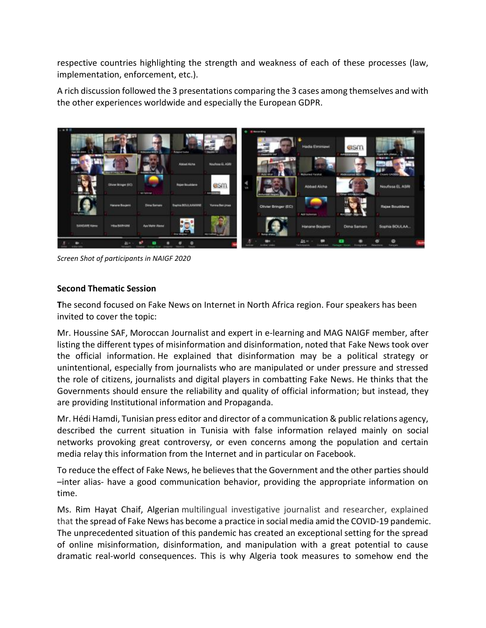respective countries highlighting the strength and weakness of each of these processes (law, implementation, enforcement, etc.).

A rich discussion followed the 3 presentations comparing the 3 cases among themselves and with the other experiences worldwide and especially the European GDPR.



*Screen Shot of participants in NAIGF 2020*

# **Second Thematic Session**

**T**he second focused on Fake News on Internet in North Africa region. Four speakers has been invited to cover the topic:

Mr. Houssine SAF, Moroccan Journalist and expert in e-learning and MAG NAIGF member, after listing the different types of misinformation and disinformation, noted that Fake News took over the official information. He explained that disinformation may be a political strategy or unintentional, especially from journalists who are manipulated or under pressure and stressed the role of citizens, journalists and digital players in combatting Fake News. He thinks that the Governments should ensure the reliability and quality of official information; but instead, they are providing Institutional information and Propaganda.

Mr. Hédi Hamdi, Tunisian press editor and director of a communication & public relations agency, described the current situation in Tunisia with false information relayed mainly on social networks provoking great controversy, or even concerns among the population and certain media relay this information from the Internet and in particular on Facebook.

To reduce the effect of Fake News, he believes that the Government and the other parties should –inter alias- have a good communication behavior, providing the appropriate information on time.

Ms. Rim Hayat Chaif, Algerian multilingual investigative journalist and researcher, explained that the spread of Fake News has become a practice in social media amid the COVID-19 pandemic. The unprecedented situation of this pandemic has created an exceptional setting for the spread of online misinformation, disinformation, and manipulation with a great potential to cause dramatic real-world consequences. This is why Algeria took measures to somehow end the